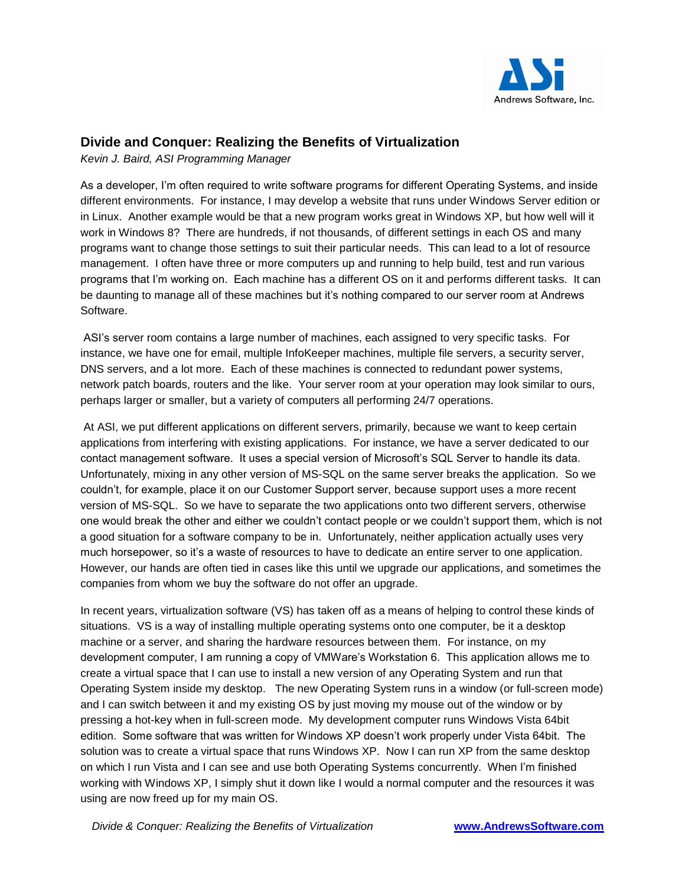

## **Divide and Conquer: Realizing the Benefits of Virtualization**

*Kevin J. Baird, ASI Programming Manager*

As a developer, I'm often required to write software programs for different Operating Systems, and inside different environments. For instance, I may develop a website that runs under Windows Server edition or in Linux. Another example would be that a new program works great in Windows XP, but how well will it work in Windows 8? There are hundreds, if not thousands, of different settings in each OS and many programs want to change those settings to suit their particular needs. This can lead to a lot of resource management. I often have three or more computers up and running to help build, test and run various programs that I'm working on. Each machine has a different OS on it and performs different tasks. It can be daunting to manage all of these machines but it's nothing compared to our server room at Andrews Software.

ASI's server room contains a large number of machines, each assigned to very specific tasks. For instance, we have one for email, multiple InfoKeeper machines, multiple file servers, a security server, DNS servers, and a lot more. Each of these machines is connected to redundant power systems, network patch boards, routers and the like. Your server room at your operation may look similar to ours, perhaps larger or smaller, but a variety of computers all performing 24/7 operations.

At ASI, we put different applications on different servers, primarily, because we want to keep certain applications from interfering with existing applications. For instance, we have a server dedicated to our contact management software. It uses a special version of Microsoft's SQL Server to handle its data. Unfortunately, mixing in any other version of MS-SQL on the same server breaks the application. So we couldn't, for example, place it on our Customer Support server, because support uses a more recent version of MS-SQL. So we have to separate the two applications onto two different servers, otherwise one would break the other and either we couldn't contact people or we couldn't support them, which is not a good situation for a software company to be in. Unfortunately, neither application actually uses very much horsepower, so it's a waste of resources to have to dedicate an entire server to one application. However, our hands are often tied in cases like this until we upgrade our applications, and sometimes the companies from whom we buy the software do not offer an upgrade.

In recent years, virtualization software (VS) has taken off as a means of helping to control these kinds of situations. VS is a way of installing multiple operating systems onto one computer, be it a desktop machine or a server, and sharing the hardware resources between them. For instance, on my development computer, I am running a copy of VMWare's Workstation 6. This application allows me to create a virtual space that I can use to install a new version of any Operating System and run that Operating System inside my desktop. The new Operating System runs in a window (or full-screen mode) and I can switch between it and my existing OS by just moving my mouse out of the window or by pressing a hot-key when in full-screen mode. My development computer runs Windows Vista 64bit edition. Some software that was written for Windows XP doesn't work properly under Vista 64bit. The solution was to create a virtual space that runs Windows XP. Now I can run XP from the same desktop on which I run Vista and I can see and use both Operating Systems concurrently. When I'm finished working with Windows XP, I simply shut it down like I would a normal computer and the resources it was using are now freed up for my main OS.

*Divide & Conquer: Realizing the Benefits of Virtualization* **www.AndrewsSoftware.com**